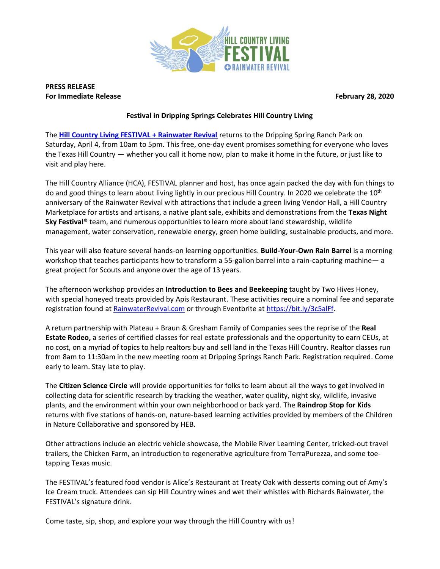

**PRESS RELEASE For Immediate Release February 28, 2020**

## **Festival in Dripping Springs Celebrates Hill Country Living**

The **[Hill Country Living FESTIVAL + Rainwater Revival](http://www.hillcountryalliance.org/rainwaterrevival/)** returns to the Dripping Spring Ranch Park on Saturday, April 4, from 10am to 5pm. This free, one-day event promises something for everyone who loves the Texas Hill Country — whether you call it home now, plan to make it home in the future, or just like to visit and play here.

The Hill Country Alliance (HCA), FESTIVAL planner and host, has once again packed the day with fun things to do and good things to learn about living lightly in our precious Hill Country. In 2020 we celebrate the 10<sup>th</sup> anniversary of the Rainwater Revival with attractions that include a green living Vendor Hall, a Hill Country Marketplace for artists and artisans, a native plant sale, exhibits and demonstrations from the **Texas Night Sky Festival®** team, and numerous opportunities to learn more about land stewardship, wildlife management, water conservation, renewable energy, green home building, sustainable products, and more.

This year will also feature several hands-on learning opportunities. **Build-Your-Own Rain Barrel** is a morning workshop that teaches participants how to transform a 55-gallon barrel into a rain-capturing machine— a great project for Scouts and anyone over the age of 13 years.

The afternoon workshop provides an **Introduction to Bees and Beekeeping** taught by Two Hives Honey, with special honeyed treats provided by Apis Restaurant. These activities require a nominal fee and separate registration found at [RainwaterRevival.com](http://www.hillcountryalliance.org/rainwaterrevival/) or through Eventbrite at [https://bit.ly/3c5alFf.](https://bit.ly/3c5alFf)

A return partnership with Plateau + Braun & Gresham Family of Companies sees the reprise of the **Real Estate Rodeo,** a series of certified classes for real estate professionals and the opportunity to earn CEUs, at no cost, on a myriad of topics to help realtors buy and sell land in the Texas Hill Country. Realtor classes run from 8am to 11:30am in the new meeting room at Dripping Springs Ranch Park. Registration required. Come early to learn. Stay late to play.

The **Citizen Science Circle** will provide opportunities for folks to learn about all the ways to get involved in collecting data for scientific research by tracking the weather, water quality, night sky, wildlife, invasive plants, and the environment within your own neighborhood or back yard. The **Raindrop Stop for Kids** returns with five stations of hands-on, nature-based learning activities provided by members of the Children in Nature Collaborative and sponsored by HEB.

Other attractions include an electric vehicle showcase, the Mobile River Learning Center, tricked-out travel trailers, the Chicken Farm, an introduction to regenerative agriculture from TerraPurezza, and some toetapping Texas music.

The FESTIVAL's featured food vendor is Alice's Restaurant at Treaty Oak with desserts coming out of Amy's Ice Cream truck. Attendees can sip Hill Country wines and wet their whistles with Richards Rainwater, the FESTIVAL's signature drink.

Come taste, sip, shop, and explore your way through the Hill Country with us!